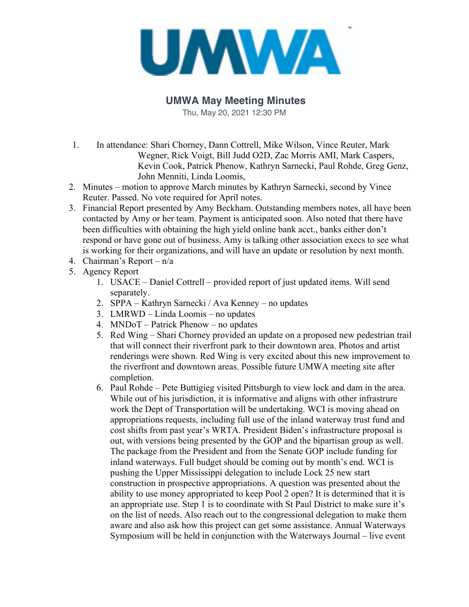

## **UMWA May Meeting Minutes**

Thu, May 20, 2021 12:30 PM

- 1. In attendance: Shari Chorney, Dann Cottrell, Mike Wilson, Vince Reuter, Mark Wegner, Rick Voigt, Bill Judd O2D, Zac Morris AMI, Mark Caspers, Kevin Cook, Patrick Phenow, Kathryn Sarnecki, Paul Rohde, Greg Genz, John Menniti, Linda Loomis,
- 2. Minutes motion to approve March minutes by Kathryn Sarnecki, second by Vince Reuter. Passed. No vote required for April notes.
- 3. Financial Report presented by Amy Beckham. Outstanding members notes, all have been contacted by Amy or her team. Payment is anticipated soon. Also noted that there have been difficulties with obtaining the high yield online bank acct., banks either don't respond or have gone out of business. Amy is talking other association execs to see what is working for their organizations, and will have an update or resolution by next month.
- 4. Chairman's Report n/a
- 5. Agency Report
	- 1. USACE Daniel Cottrell provided report of just updated items. Will send separately.
	- 2. SPPA Kathryn Sarnecki / Ava Kenney no updates
	- 3. LMRWD Linda Loomis no updates
	- 4. MNDoT Patrick Phenow no updates
	- 5. Red Wing Shari Chorney provided an update on a proposed new pedestrian trail that will connect their riverfront park to their downtown area. Photos and artist renderings were shown. Red Wing is very excited about this new improvement to the riverfront and downtown areas. Possible future UMWA meeting site after completion.
	- 6. Paul Rohde Pete Buttigieg visited Pittsburgh to view lock and dam in the area. While out of his jurisdiction, it is informative and aligns with other infrastrure work the Dept of Transportation will be undertaking. WCI is moving ahead on appropriations requests, including full use of the inland waterway trust fund and cost shifts from past year's WRTA. President Biden's infrastructure proposal is out, with versions being presented by the GOP and the bipartisan group as well. The package from the President and from the Senate GOP include funding for inland waterways. Full budget should be coming out by month's end. WCI is pushing the Upper Mississippi delegation to include Lock 25 new start construction in prospective appropriations. A question was presented about the ability to use money appropriated to keep Pool 2 open? It is determined that it is an appropriate use. Step 1 is to coordinate with St Paul District to make sure it's on the list of needs. Also reach out to the congressional delegation to make them aware and also ask how this project can get some assistance. Annual Waterways Symposium will be held in conjunction with the Waterways Journal – live event